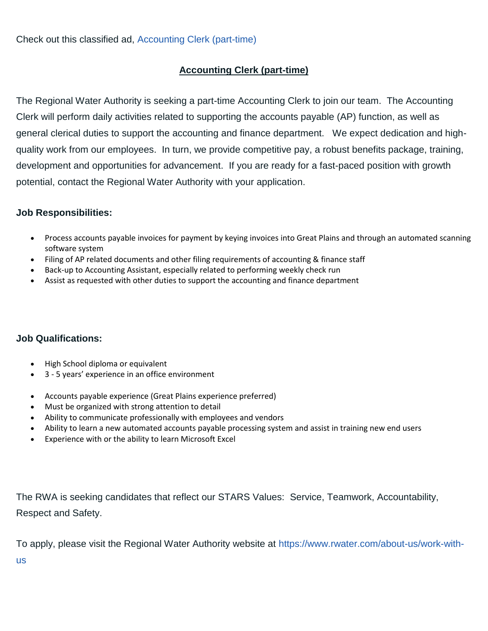## **Accounting Clerk (part-time)**

The Regional Water Authority is seeking a part-time Accounting Clerk to join our team. The Accounting Clerk will perform daily activities related to supporting the accounts payable (AP) function, as well as general clerical duties to support the accounting and finance department. We expect dedication and highquality work from our employees. In turn, we provide competitive pay, a robust benefits package, training, development and opportunities for advancement. If you are ready for a fast-paced position with growth potential, contact the Regional Water Authority with your application.

## **Job Responsibilities:**

- Process accounts payable invoices for payment by keying invoices into Great Plains and through an automated scanning software system
- Filing of AP related documents and other filing requirements of accounting & finance staff
- Back-up to Accounting Assistant, especially related to performing weekly check run
- Assist as requested with other duties to support the accounting and finance department

## **Job Qualifications:**

- High School diploma or equivalent
- 3 5 years' experience in an office environment
- Accounts payable experience (Great Plains experience preferred)
- Must be organized with strong attention to detail
- Ability to communicate professionally with employees and vendors
- Ability to learn a new automated accounts payable processing system and assist in training new end users
- Experience with or the ability to learn Microsoft Excel

The RWA is seeking candidates that reflect our STARS Values: Service, Teamwork, Accountability, Respect and Safety.

To apply, please visit the Regional Water Authority website at [https://www.rwater.com/about-us/work-with-](https://www.rwater.com/about-us/work-with-us)

[us](https://www.rwater.com/about-us/work-with-us)